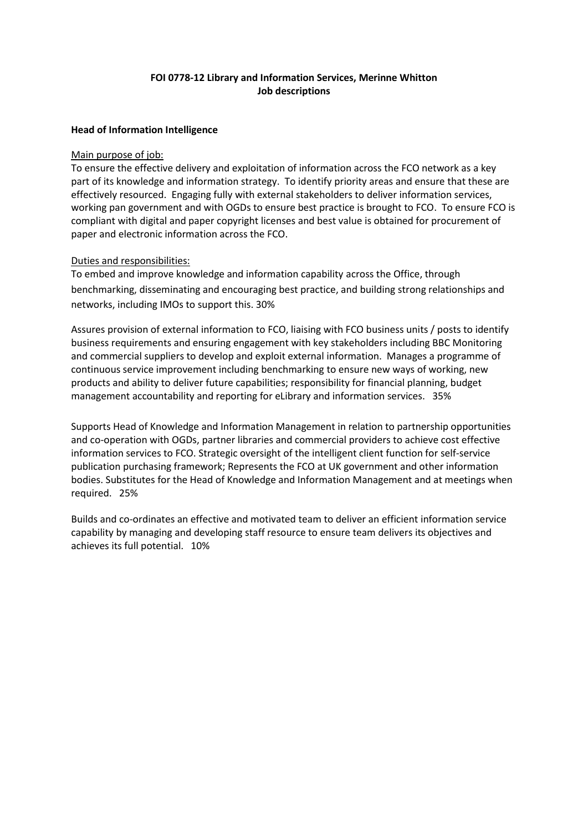# **FOI 0778-12 Library and Information Services, Merinne Whitton Job descriptions**

#### **Head of Information Intelligence**

#### Main purpose of job:

To ensure the effective delivery and exploitation of information across the FCO network as a key part of its knowledge and information strategy. To identify priority areas and ensure that these are effectively resourced. Engaging fully with external stakeholders to deliver information services, working pan government and with OGDs to ensure best practice is brought to FCO. To ensure FCO is compliant with digital and paper copyright licenses and best value is obtained for procurement of paper and electronic information across the FCO.

# Duties and responsibilities:

To embed and improve knowledge and information capability across the Office, through benchmarking, disseminating and encouraging best practice, and building strong relationships and networks, including IMOs to support this. 30%

Assures provision of external information to FCO, liaising with FCO business units / posts to identify business requirements and ensuring engagement with key stakeholders including BBC Monitoring and commercial suppliers to develop and exploit external information. Manages a programme of continuous service improvement including benchmarking to ensure new ways of working, new products and ability to deliver future capabilities; responsibility for financial planning, budget management accountability and reporting for eLibrary and information services. 35%

Supports Head of Knowledge and Information Management in relation to partnership opportunities and co-operation with OGDs, partner libraries and commercial providers to achieve cost effective information services to FCO. Strategic oversight of the intelligent client function for self-service publication purchasing framework; Represents the FCO at UK government and other information bodies. Substitutes for the Head of Knowledge and Information Management and at meetings when required. 25%

Builds and co-ordinates an effective and motivated team to deliver an efficient information service capability by managing and developing staff resource to ensure team delivers its objectives and achieves its full potential. 10%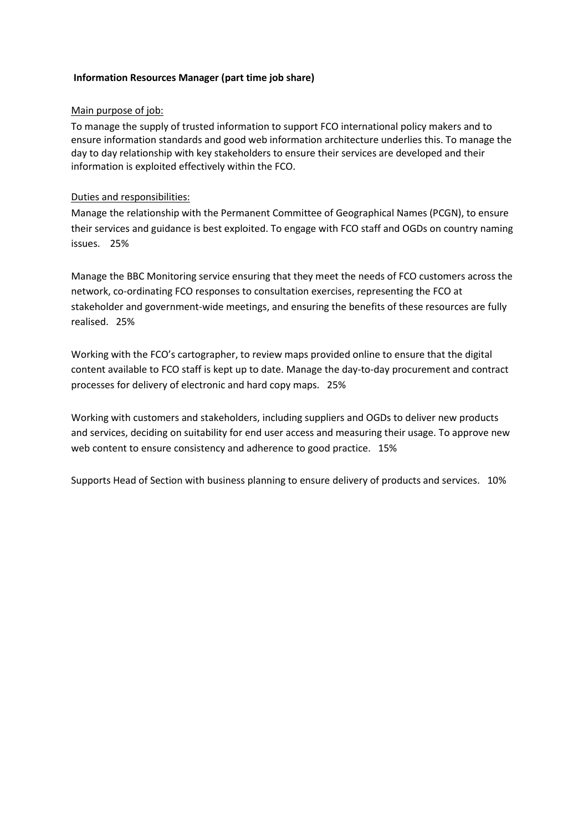## **Information Resources Manager (part time job share)**

#### Main purpose of job:

To manage the supply of trusted information to support FCO international policy makers and to ensure information standards and good web information architecture underlies this. To manage the day to day relationship with key stakeholders to ensure their services are developed and their information is exploited effectively within the FCO.

# Duties and responsibilities:

Manage the relationship with the Permanent Committee of Geographical Names (PCGN), to ensure their services and guidance is best exploited. To engage with FCO staff and OGDs on country naming issues. 25%

Manage the BBC Monitoring service ensuring that they meet the needs of FCO customers across the network, co-ordinating FCO responses to consultation exercises, representing the FCO at stakeholder and government-wide meetings, and ensuring the benefits of these resources are fully realised. 25%

Working with the FCO's cartographer, to review maps provided online to ensure that the digital content available to FCO staff is kept up to date. Manage the day-to-day procurement and contract processes for delivery of electronic and hard copy maps. 25%

Working with customers and stakeholders, including suppliers and OGDs to deliver new products and services, deciding on suitability for end user access and measuring their usage. To approve new web content to ensure consistency and adherence to good practice. 15%

Supports Head of Section with business planning to ensure delivery of products and services. 10%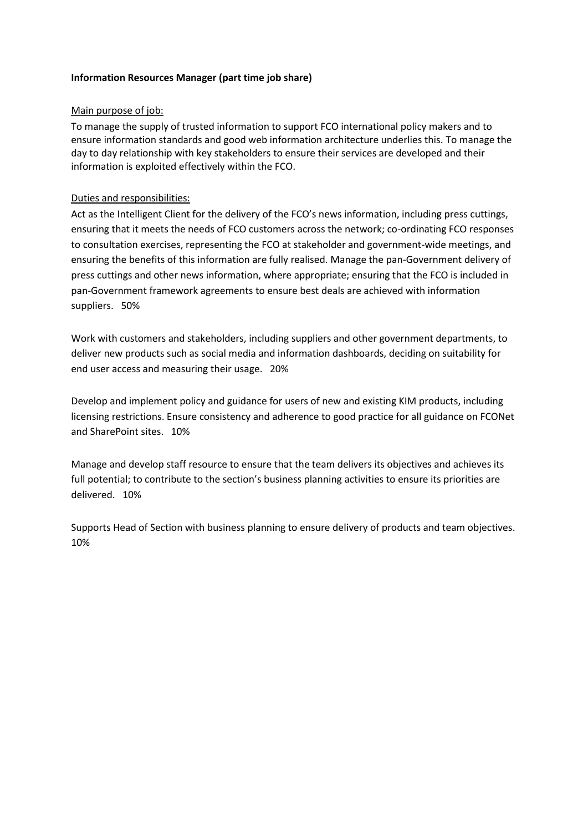# **Information Resources Manager (part time job share)**

## Main purpose of job:

To manage the supply of trusted information to support FCO international policy makers and to ensure information standards and good web information architecture underlies this. To manage the day to day relationship with key stakeholders to ensure their services are developed and their information is exploited effectively within the FCO.

# Duties and responsibilities:

Act as the Intelligent Client for the delivery of the FCO's news information, including press cuttings, ensuring that it meets the needs of FCO customers across the network; co-ordinating FCO responses to consultation exercises, representing the FCO at stakeholder and government-wide meetings, and ensuring the benefits of this information are fully realised. Manage the pan-Government delivery of press cuttings and other news information, where appropriate; ensuring that the FCO is included in pan-Government framework agreements to ensure best deals are achieved with information suppliers. 50%

Work with customers and stakeholders, including suppliers and other government departments, to deliver new products such as social media and information dashboards, deciding on suitability for end user access and measuring their usage. 20%

Develop and implement policy and guidance for users of new and existing KIM products, including licensing restrictions. Ensure consistency and adherence to good practice for all guidance on FCONet and SharePoint sites. 10%

Manage and develop staff resource to ensure that the team delivers its objectives and achieves its full potential; to contribute to the section's business planning activities to ensure its priorities are delivered. 10%

Supports Head of Section with business planning to ensure delivery of products and team objectives. 10%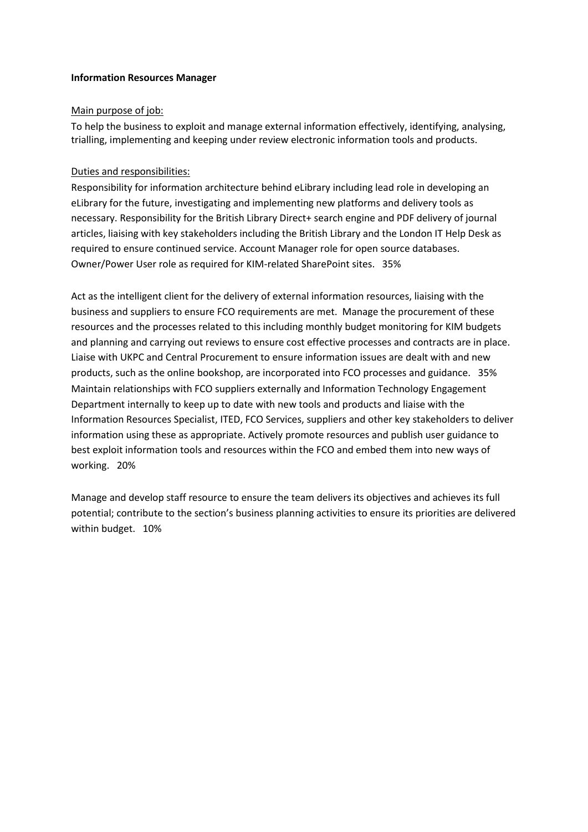## **Information Resources Manager**

# Main purpose of job:

To help the business to exploit and manage external information effectively, identifying, analysing, trialling, implementing and keeping under review electronic information tools and products.

# Duties and responsibilities:

Responsibility for information architecture behind eLibrary including lead role in developing an eLibrary for the future, investigating and implementing new platforms and delivery tools as necessary. Responsibility for the British Library Direct+ search engine and PDF delivery of journal articles, liaising with key stakeholders including the British Library and the London IT Help Desk as required to ensure continued service. Account Manager role for open source databases. Owner/Power User role as required for KIM-related SharePoint sites. 35%

Act as the intelligent client for the delivery of external information resources, liaising with the business and suppliers to ensure FCO requirements are met. Manage the procurement of these resources and the processes related to this including monthly budget monitoring for KIM budgets and planning and carrying out reviews to ensure cost effective processes and contracts are in place. Liaise with UKPC and Central Procurement to ensure information issues are dealt with and new products, such as the online bookshop, are incorporated into FCO processes and guidance. 35% Maintain relationships with FCO suppliers externally and Information Technology Engagement Department internally to keep up to date with new tools and products and liaise with the Information Resources Specialist, ITED, FCO Services, suppliers and other key stakeholders to deliver information using these as appropriate. Actively promote resources and publish user guidance to best exploit information tools and resources within the FCO and embed them into new ways of working. 20%

Manage and develop staff resource to ensure the team delivers its objectives and achieves its full potential; contribute to the section's business planning activities to ensure its priorities are delivered within budget. 10%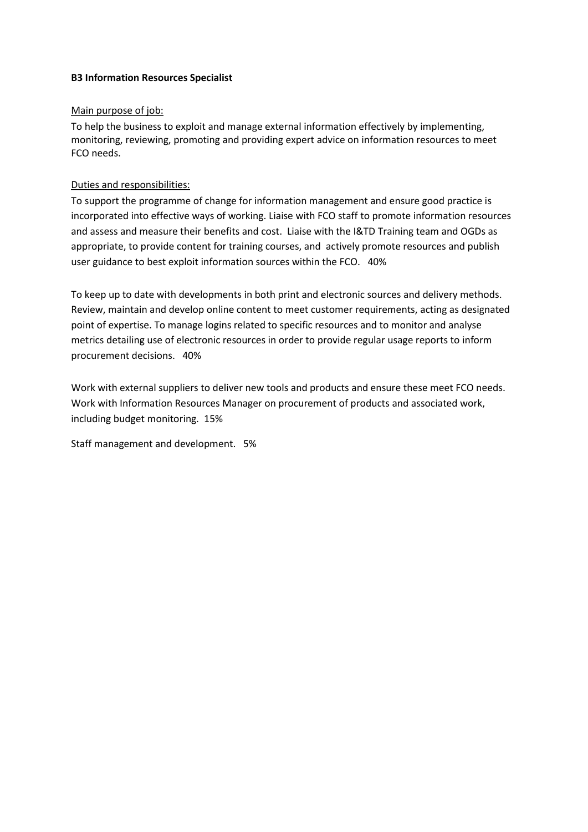# **B3 Information Resources Specialist**

#### Main purpose of job:

To help the business to exploit and manage external information effectively by implementing, monitoring, reviewing, promoting and providing expert advice on information resources to meet FCO needs.

# Duties and responsibilities:

To support the programme of change for information management and ensure good practice is incorporated into effective ways of working. Liaise with FCO staff to promote information resources and assess and measure their benefits and cost. Liaise with the I&TD Training team and OGDs as appropriate, to provide content for training courses, and actively promote resources and publish user guidance to best exploit information sources within the FCO. 40%

To keep up to date with developments in both print and electronic sources and delivery methods. Review, maintain and develop online content to meet customer requirements, acting as designated point of expertise. To manage logins related to specific resources and to monitor and analyse metrics detailing use of electronic resources in order to provide regular usage reports to inform procurement decisions. 40%

Work with external suppliers to deliver new tools and products and ensure these meet FCO needs. Work with Information Resources Manager on procurement of products and associated work, including budget monitoring. 15%

Staff management and development. 5%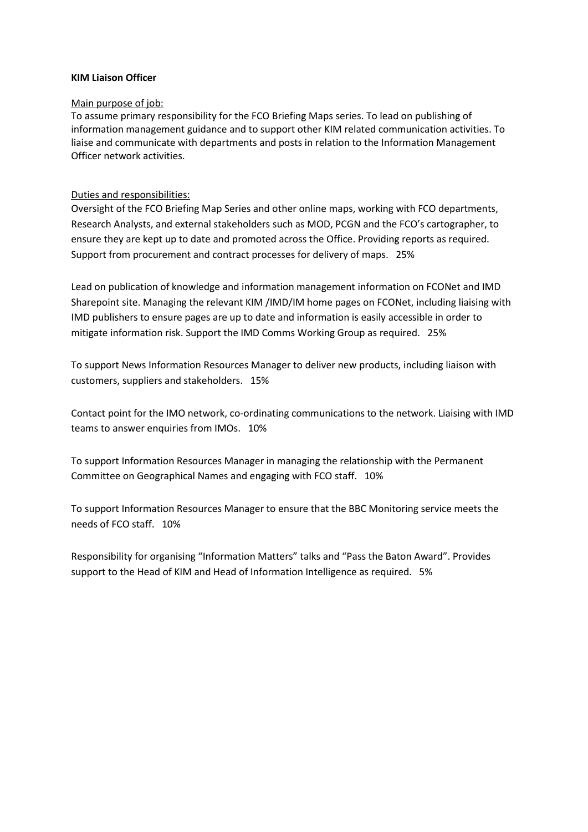#### **KIM Liaison Officer**

#### Main purpose of job:

To assume primary responsibility for the FCO Briefing Maps series. To lead on publishing of information management guidance and to support other KIM related communication activities. To liaise and communicate with departments and posts in relation to the Information Management Officer network activities.

#### Duties and responsibilities:

Oversight of the FCO Briefing Map Series and other online maps, working with FCO departments, Research Analysts, and external stakeholders such as MOD, PCGN and the FCO's cartographer, to ensure they are kept up to date and promoted across the Office. Providing reports as required. Support from procurement and contract processes for delivery of maps. 25%

Lead on publication of knowledge and information management information on FCONet and IMD Sharepoint site. Managing the relevant KIM /IMD/IM home pages on FCONet, including liaising with IMD publishers to ensure pages are up to date and information is easily accessible in order to mitigate information risk. Support the IMD Comms Working Group as required. 25%

To support News Information Resources Manager to deliver new products, including liaison with customers, suppliers and stakeholders. 15%

Contact point for the IMO network, co-ordinating communications to the network. Liaising with IMD teams to answer enquiries from IMOs. 10%

To support Information Resources Manager in managing the relationship with the Permanent Committee on Geographical Names and engaging with FCO staff. 10%

To support Information Resources Manager to ensure that the BBC Monitoring service meets the needs of FCO staff. 10%

Responsibility for organising "Information Matters" talks and "Pass the Baton Award". Provides support to the Head of KIM and Head of Information Intelligence as required. 5%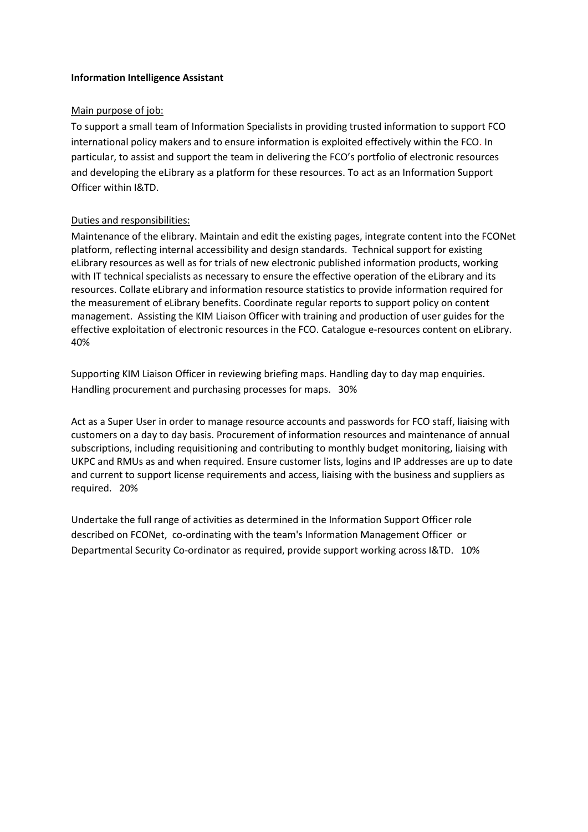## **Information Intelligence Assistant**

# Main purpose of job:

To support a small team of Information Specialists in providing trusted information to support FCO international policy makers and to ensure information is exploited effectively within the FCO. In particular, to assist and support the team in delivering the FCO's portfolio of electronic resources and developing the eLibrary as a platform for these resources. To act as an Information Support Officer within I&TD.

# Duties and responsibilities:

Maintenance of the elibrary. Maintain and edit the existing pages, integrate content into the FCONet platform, reflecting internal accessibility and design standards. Technical support for existing eLibrary resources as well as for trials of new electronic published information products, working with IT technical specialists as necessary to ensure the effective operation of the eLibrary and its resources. Collate eLibrary and information resource statistics to provide information required for the measurement of eLibrary benefits. Coordinate regular reports to support policy on content management. Assisting the KIM Liaison Officer with training and production of user guides for the effective exploitation of electronic resources in the FCO. Catalogue e-resources content on eLibrary. 40%

Supporting KIM Liaison Officer in reviewing briefing maps. Handling day to day map enquiries. Handling procurement and purchasing processes for maps. 30%

Act as a Super User in order to manage resource accounts and passwords for FCO staff, liaising with customers on a day to day basis. Procurement of information resources and maintenance of annual subscriptions, including requisitioning and contributing to monthly budget monitoring, liaising with UKPC and RMUs as and when required. Ensure customer lists, logins and IP addresses are up to date and current to support license requirements and access, liaising with the business and suppliers as required. 20%

Undertake the full range of activities as determined in the Information Support Officer role described on FCONet, co-ordinating with the team's Information Management Officer or Departmental Security Co-ordinator as required, provide support working across I&TD. 10%